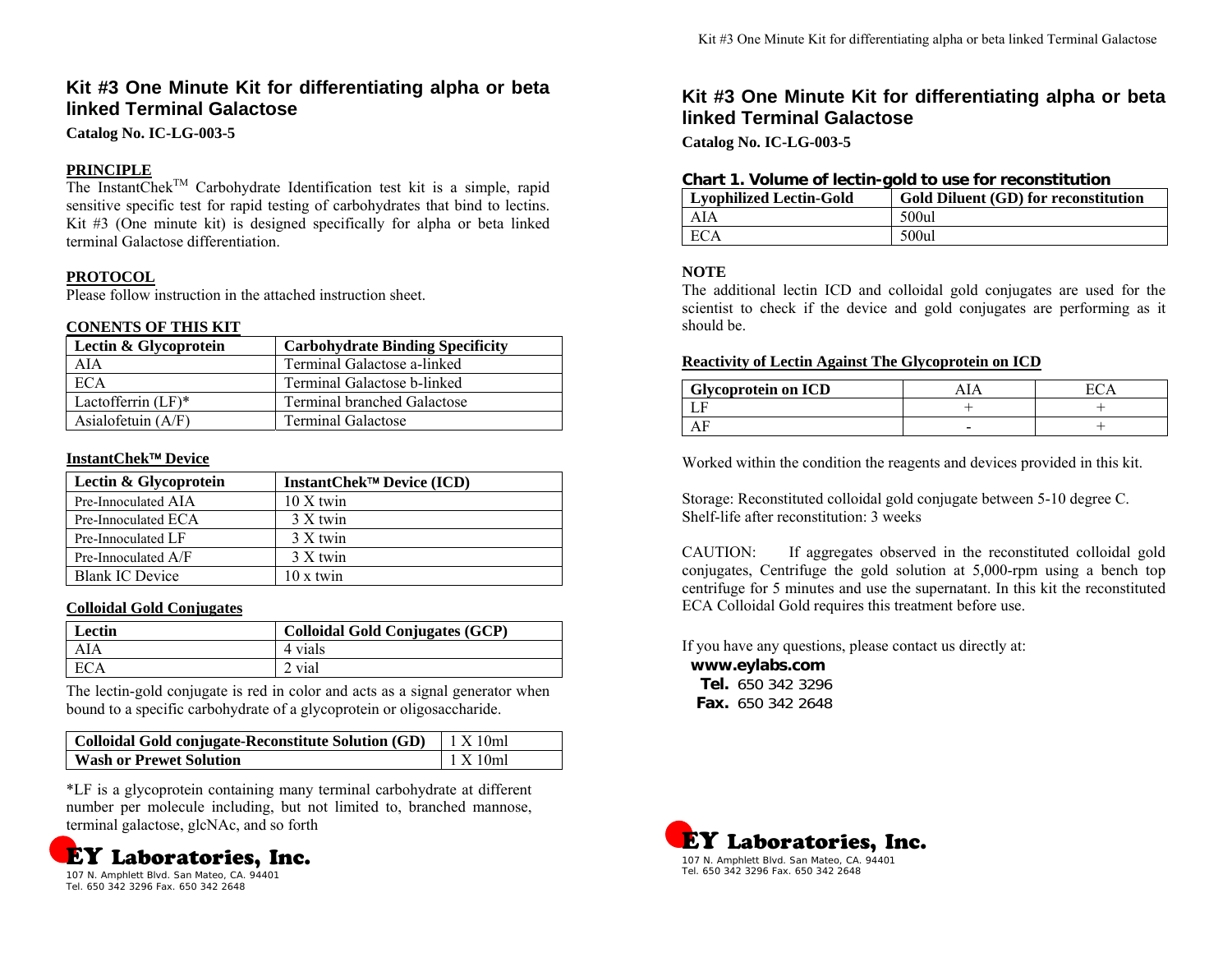# **Kit #3 One Minute Kit for differentiating alpha or beta linked Terminal Galactose**

**Catalog No. IC-LG-003-5** 

# **PRINCIPLE**

The InstantChek<sup>TM</sup> Carbohydrate Identification test kit is a simple, rapid sensitive specific test for rapid testing of carbohydrates that bind to lectins. Kit #3 (One minute kit) is designed specifically for alpha or beta linked terminal Galactose differentiation.

# **PROTOCOL**

Please follow instruction in the attached instruction sheet.

### **CONENTS OF THIS KIT**

| Lectin & Glycoprotein | <b>Carbohydrate Binding Specificity</b> |
|-----------------------|-----------------------------------------|
| AIA                   | Terminal Galactose a-linked             |
| <b>ECA</b>            | Terminal Galactose b-linked             |
| Lactofferrin $(LF)^*$ | <b>Terminal branched Galactose</b>      |
| Asialofetuin $(A/F)$  | <b>Terminal Galactose</b>               |

# **InstantChek**™ **Device**

| Lectin & Glycoprotein  | InstantChek™ Device (ICD) |
|------------------------|---------------------------|
| Pre-Innoculated AIA    | $10 X$ twin               |
| Pre-Innoculated ECA    | 3 X twin                  |
| Pre-Innoculated LF     | 3 X twin                  |
| Pre-Innoculated $A/F$  | 3 X twin                  |
| <b>Blank IC Device</b> | $10 \times$ twin          |

### **Colloidal Gold Conjugates**

| Lectin | <b>Colloidal Gold Conjugates (GCP)</b> |
|--------|----------------------------------------|
| AIA    | 4 vials                                |
|        | vial                                   |

The lectin-gold conjugate is red in color and acts as a signal generator when bound to a specific carbohydrate of a glycoprotein or oligosaccharide.

| Colloidal Gold conjugate-Reconstitute Solution (GD) | $1 \text{ X } 10 \text{ml}$ |
|-----------------------------------------------------|-----------------------------|
| <b>Wash or Prewet Solution</b>                      | 1 X 10ml                    |

\*LF is a glycoprotein containing many terminal carbohydrate at different number per molecule including, but not limited to, branched mannose, terminal galactose, glcNAc, and so forth



Tel. 650 342 3296 Fax. 650 342 2648

# **Kit #3 One Minute Kit for differentiating alpha or beta linked Terminal Galactose**

**Catalog No. IC-LG-003-5** 

### **Chart 1. Volume of lectin-gold to use for reconstitution**

| Lyophilized Lectin-Gold | <b>Gold Diluent (GD) for reconstitution</b> |
|-------------------------|---------------------------------------------|
| AIA                     | 500ul                                       |
| ECA                     | 500ul                                       |

# **NOTE**

The additional lectin ICD and colloidal gold conjugates are used for the scientist to check if the device and gold conjugates are performing as it should be.

## **Reactivity of Lectin Against The Glycoprotein on ICD**

| <b>Glycoprotein on ICD</b> |   |  |
|----------------------------|---|--|
|                            |   |  |
|                            | - |  |

Worked within the condition the reagents and devices provided in this kit.

Storage: Reconstituted colloidal gold conjugate between 5-10 degree C. Shelf-life after reconstitution: 3 weeks

CAUTION: If aggregates observed in the reconstituted colloidal gold conjugates, Centrifuge the gold solution at 5,000-rpm using a bench top centrifuge for 5 minutes and use the supernatant. In this kit the reconstituted ECA Colloidal Gold requires this treatment before use.

If you have any questions, please contact us directly at:

**www.eylabs.com Tel.** 650 342 3296**Fax.** 650 342 2648

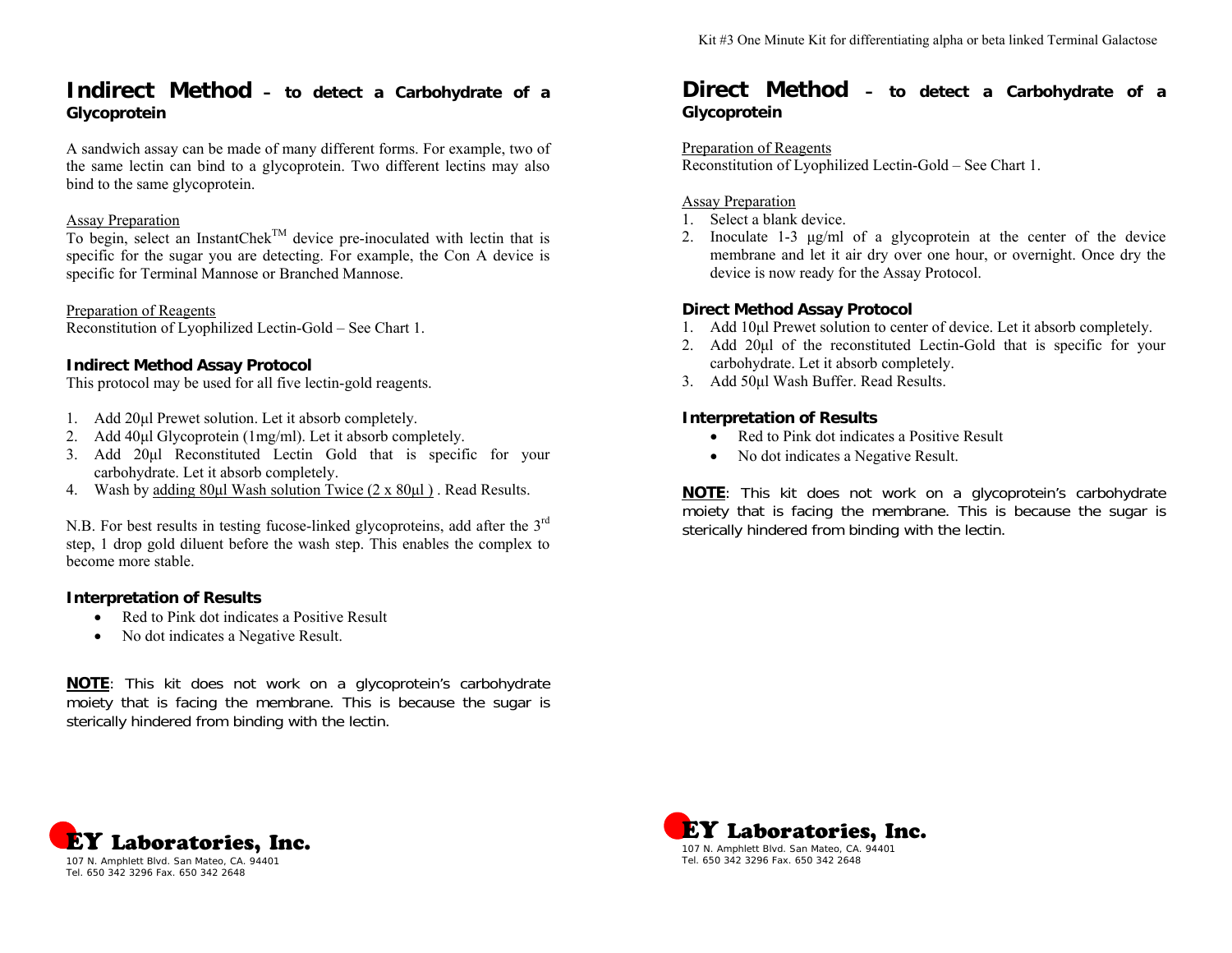# **Indirect Method – to detect a Carbohydrate of a Glycoprotein**

A sandwich assay can be made of many different forms. For example, two of the same lectin can bind to a glycoprotein. Two different lectins may also bind to the same glycoprotein.

## Assay Preparation

To begin, select an InstantChe $k^{TM}$  device pre-inoculated with lectin that is specific for the sugar you are detecting. For example, the Con A device is specific for Terminal Mannose or Branched Mannose.

Preparation of Reagents

Reconstitution of Lyophilized Lectin-Gold – See Chart 1.

# **Indirect Method Assay Protocol**

This protocol may be used for all five lectin-gold reagents.

- 1. Add 20μl Prewet solution. Let it absorb completely.
- 2. Add 40μl Glycoprotein (1mg/ml). Let it absorb completely.
- 3. Add 20μl Reconstituted Lectin Gold that is specific for your carbohydrate. Let it absorb completely.
- 4. Wash by <u>adding 80μl Wash solution Twice (2 x 80μl)</u>. Read Results.

N.B. For best results in testing fucose-linked glycoproteins, add after the 3<sup>rd</sup> step, 1 drop gold diluent before the wash step. This enables the complex to become more stable.

### **Interpretation of Results**

- Red to Pink dot indicates a Positive Result
- No dot indicates a Negative Result.

**NOTE**: This kit does not work on a glycoprotein's carbohydrate moiety that is facing the membrane. This is because the sugar is sterically hindered from binding with the lectin.

# **Direct Method – to detect a Carbohydrate of a Glycoprotein**

#### Preparation of Reagents

Reconstitution of Lyophilized Lectin-Gold – See Chart 1.

### Assay Preparation

- 1. Select a blank device.
- 2. Inoculate 1-3 μg/ml of a glycoprotein at the center of the device membrane and let it air dry over one hour, or overnight. Once dry the device is now ready for the Assay Protocol.

# **Direct Method Assay Protocol**

- 1. Add 10μl Prewet solution to center of device. Let it absorb completely.
- 2. Add 20μl of the reconstituted Lectin-Gold that is specific for your carbohydrate. Let it absorb completely.
- 3. Add 50μl Wash Buffer. Read Results.

# **Interpretation of Results**

- Red to Pink dot indicates a Positive Result
- No dot indicates a Negative Result.

**NOTE**: This kit does not work on a glycoprotein's carbohydrate moiety that is facing the membrane. This is because the sugar is sterically hindered from binding with the lectin.